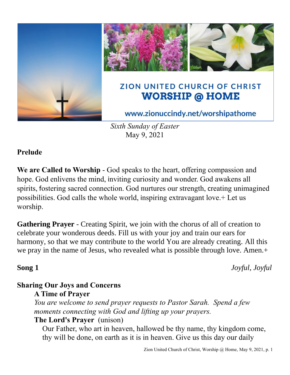

*Sixth Sunday of Easter* May 9, 2021

## **Prelude**

**We are Called to Worship** - God speaks to the heart, offering compassion and hope. God enlivens the mind, inviting curiosity and wonder. God awakens all spirits, fostering sacred connection. God nurtures our strength, creating unimagined possibilities. God calls the whole world, inspiring extravagant love.+ Let us worship.

**Gathering Prayer** - Creating Spirit, we join with the chorus of all of creation to celebrate your wonderous deeds. Fill us with your joy and train our ears for harmony, so that we may contribute to the world You are already creating. All this we pray in the name of Jesus, who revealed what is possible through love. Amen.+

**Song 1** *Joyful, Joyful*

# **Sharing Our Joys and Concerns**

## **A Time of Prayer**

*You are welcome to send prayer requests to Pastor Sarah. Spend a few moments connecting with God and lifting up your prayers.*

## **The Lord's Prayer** (unison)

Our Father, who art in heaven, hallowed be thy name, thy kingdom come, thy will be done, on earth as it is in heaven. Give us this day our daily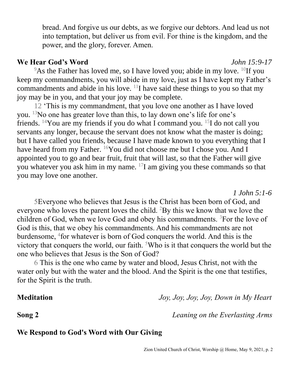bread. And forgive us our debts, as we forgive our debtors. And lead us not into temptation, but deliver us from evil. For thine is the kingdom, and the power, and the glory, forever. Amen.

### **We Hear God's Word** *John 15:9-17*

<sup>9</sup>As the Father has loved me, so I have loved you; abide in my love. <sup>10</sup>If you keep my commandments, you will abide in my love, just as I have kept my Father's commandments and abide in his love.  $11$  have said these things to you so that my joy may be in you, and that your joy may be complete.

12 'This is my commandment, that you love one another as I have loved you. <sup>13</sup>No one has greater love than this, to lay down one's life for one's friends. <sup>14</sup>You are my friends if you do what I command you. <sup>15</sup>I do not call you servants any longer, because the servant does not know what the master is doing; but I have called you friends, because I have made known to you everything that I have heard from my Father. <sup>16</sup>You did not choose me but I chose you. And I appointed you to go and bear fruit, fruit that will last, so that the Father will give you whatever you ask him in my name. <sup>17</sup>I am giving you these commands so that you may love one another.

5Everyone who believes that Jesus is the Christ has been born of God, and everyone who loves the parent loves the child. <sup>2</sup>By this we know that we love the children of God, when we love God and obey his commandments.  ${}^{3}$ For the love of God is this, that we obey his commandments. And his commandments are not burdensome,  ${}^{4}$  for whatever is born of God conquers the world. And this is the victory that conquers the world, our faith. <sup>5</sup>Who is it that conquers the world but the one who believes that Jesus is the Son of God?

6 This is the one who came by water and blood, Jesus Christ, not with the water only but with the water and the blood. And the Spirit is the one that testifies, for the Spirit is the truth.

**Meditation** *Joy, Joy, Joy, Joy, Down in My Heart*

**Song 2** *Leaning on the Everlasting Arms*

*1 John 5:1-6*

## **We Respond to God's Word with Our Giving**

Zion United Church of Christ, Worship @ Home, May 9, 2021, p. 2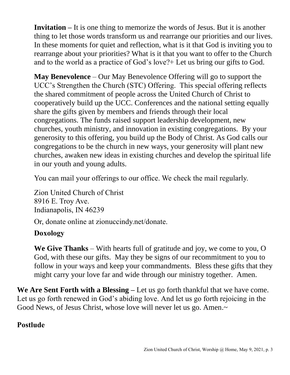**Invitation –** It is one thing to memorize the words of Jesus. But it is another thing to let those words transform us and rearrange our priorities and our lives. In these moments for quiet and reflection, what is it that God is inviting you to rearrange about your priorities? What is it that you want to offer to the Church and to the world as a practice of God's love?+ Let us bring our gifts to God.

**May Benevolence** – Our May Benevolence Offering will go to support the UCC's Strengthen the Church (STC) Offering. This special offering reflects the shared commitment of people across the United Church of Christ to cooperatively build up the UCC. Conferences and the national setting equally share the gifts given by members and friends through their local congregations. The funds raised support leadership development, new churches, youth ministry, and innovation in existing congregations. By your generosity to this offering, you build up the Body of Christ. As God calls our congregations to be the church in new ways, your generosity will plant new churches, awaken new ideas in existing churches and develop the spiritual life in our youth and young adults.

You can mail your offerings to our office. We check the mail regularly.

Zion United Church of Christ 8916 E. Troy Ave. Indianapolis, IN 46239

Or, donate online at zionuccindy.net/donate.

## **Doxology**

**We Give Thanks** – With hearts full of gratitude and joy, we come to you, O God, with these our gifts. May they be signs of our recommitment to you to follow in your ways and keep your commandments. Bless these gifts that they might carry your love far and wide through our ministry together. Amen.

**We Are Sent Forth with a Blessing –** Let us go forth thankful that we have come. Let us go forth renewed in God's abiding love. And let us go forth rejoicing in the Good News, of Jesus Christ, whose love will never let us go. Amen.~

## **Postlude**